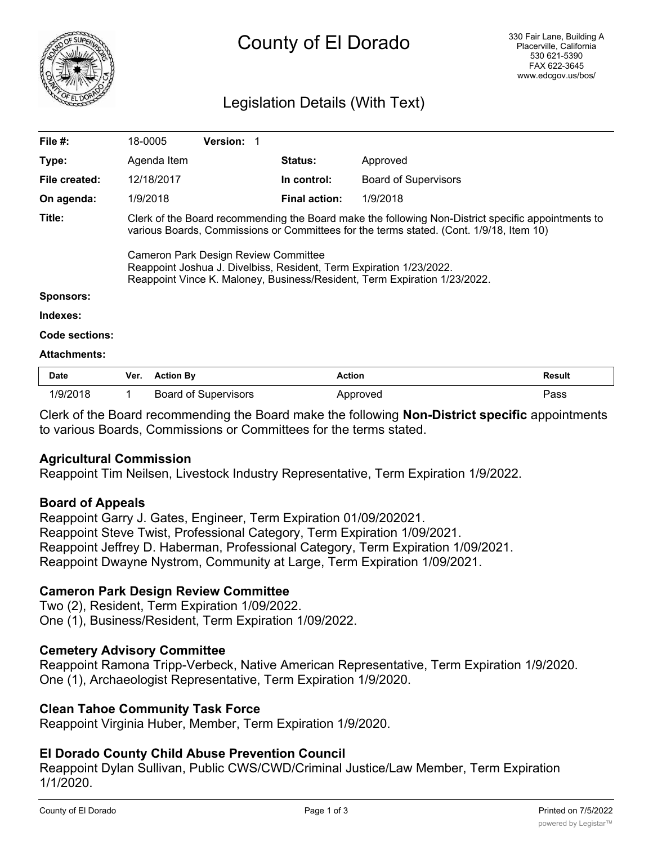

# County of El Dorado

# Legislation Details (With Text)

| File #:             | 18-0005                                                                                                                                                                                                                                                                                                                                                                                   | <b>Version: 1</b> |                      |                             |  |  |
|---------------------|-------------------------------------------------------------------------------------------------------------------------------------------------------------------------------------------------------------------------------------------------------------------------------------------------------------------------------------------------------------------------------------------|-------------------|----------------------|-----------------------------|--|--|
| Type:               | Agenda Item                                                                                                                                                                                                                                                                                                                                                                               |                   | <b>Status:</b>       | Approved                    |  |  |
| File created:       | 12/18/2017                                                                                                                                                                                                                                                                                                                                                                                |                   | In control:          | <b>Board of Supervisors</b> |  |  |
| On agenda:          | 1/9/2018                                                                                                                                                                                                                                                                                                                                                                                  |                   | <b>Final action:</b> | 1/9/2018                    |  |  |
| Title:              | Clerk of the Board recommending the Board make the following Non-District specific appointments to<br>various Boards, Commissions or Committees for the terms stated. (Cont. 1/9/18, Item 10)<br>Cameron Park Design Review Committee<br>Reappoint Joshua J. Divelbiss, Resident, Term Expiration 1/23/2022.<br>Reappoint Vince K. Maloney, Business/Resident, Term Expiration 1/23/2022. |                   |                      |                             |  |  |
| Sponsors:           |                                                                                                                                                                                                                                                                                                                                                                                           |                   |                      |                             |  |  |
| Indexes:            |                                                                                                                                                                                                                                                                                                                                                                                           |                   |                      |                             |  |  |
| Code sections:      |                                                                                                                                                                                                                                                                                                                                                                                           |                   |                      |                             |  |  |
| <b>Attachments:</b> |                                                                                                                                                                                                                                                                                                                                                                                           |                   |                      |                             |  |  |
| <b>D.L.</b>         | $M_{\text{max}} = 0.41$                                                                                                                                                                                                                                                                                                                                                                   |                   | $A - 41 - 4$         | <b>Dec.</b> 14              |  |  |

| <b>Date</b> | Ver. | <b>Action Bv</b>            | Action<br>. | <b>Result</b><br>. |
|-------------|------|-----------------------------|-------------|--------------------|
|             |      | <b>Board of Supervisors</b> | pproved     | פs⊳                |

Clerk of the Board recommending the Board make the following **Non-District specific** appointments to various Boards, Commissions or Committees for the terms stated.

# **Agricultural Commission**

Reappoint Tim Neilsen, Livestock Industry Representative, Term Expiration 1/9/2022.

# **Board of Appeals**

Reappoint Garry J. Gates, Engineer, Term Expiration 01/09/202021. Reappoint Steve Twist, Professional Category, Term Expiration 1/09/2021. Reappoint Jeffrey D. Haberman, Professional Category, Term Expiration 1/09/2021. Reappoint Dwayne Nystrom, Community at Large, Term Expiration 1/09/2021.

# **Cameron Park Design Review Committee**

Two (2), Resident, Term Expiration 1/09/2022. One (1), Business/Resident, Term Expiration 1/09/2022.

# **Cemetery Advisory Committee**

Reappoint Ramona Tripp-Verbeck, Native American Representative, Term Expiration 1/9/2020. One (1), Archaeologist Representative, Term Expiration 1/9/2020.

# **Clean Tahoe Community Task Force**

Reappoint Virginia Huber, Member, Term Expiration 1/9/2020.

# **El Dorado County Child Abuse Prevention Council**

Reappoint Dylan Sullivan, Public CWS/CWD/Criminal Justice/Law Member, Term Expiration 1/1/2020.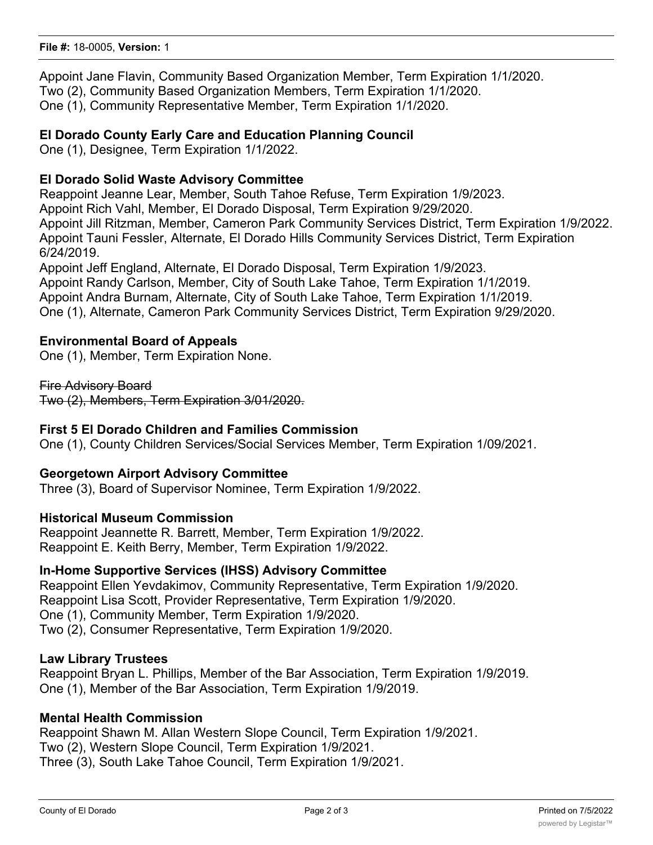Appoint Jane Flavin, Community Based Organization Member, Term Expiration 1/1/2020. Two (2), Community Based Organization Members, Term Expiration 1/1/2020. One (1), Community Representative Member, Term Expiration 1/1/2020.

# **El Dorado County Early Care and Education Planning Council**

One (1), Designee, Term Expiration 1/1/2022.

# **El Dorado Solid Waste Advisory Committee**

Reappoint Jeanne Lear, Member, South Tahoe Refuse, Term Expiration 1/9/2023. Appoint Rich Vahl, Member, El Dorado Disposal, Term Expiration 9/29/2020. Appoint Jill Ritzman, Member, Cameron Park Community Services District, Term Expiration 1/9/2022. Appoint Tauni Fessler, Alternate, El Dorado Hills Community Services District, Term Expiration 6/24/2019.

Appoint Jeff England, Alternate, El Dorado Disposal, Term Expiration 1/9/2023. Appoint Randy Carlson, Member, City of South Lake Tahoe, Term Expiration 1/1/2019. Appoint Andra Burnam, Alternate, City of South Lake Tahoe, Term Expiration 1/1/2019. One (1), Alternate, Cameron Park Community Services District, Term Expiration 9/29/2020.

# **Environmental Board of Appeals**

One (1), Member, Term Expiration None.

Fire Advisory Board Two (2), Members, Term Expiration 3/01/2020.

# **First 5 El Dorado Children and Families Commission**

One (1), County Children Services/Social Services Member, Term Expiration 1/09/2021.

# **Georgetown Airport Advisory Committee**

Three (3), Board of Supervisor Nominee, Term Expiration 1/9/2022.

# **Historical Museum Commission**

Reappoint Jeannette R. Barrett, Member, Term Expiration 1/9/2022. Reappoint E. Keith Berry, Member, Term Expiration 1/9/2022.

# **In-Home Supportive Services (IHSS) Advisory Committee**

Reappoint Ellen Yevdakimov, Community Representative, Term Expiration 1/9/2020. Reappoint Lisa Scott, Provider Representative, Term Expiration 1/9/2020. One (1), Community Member, Term Expiration 1/9/2020. Two (2), Consumer Representative, Term Expiration 1/9/2020.

# **Law Library Trustees**

Reappoint Bryan L. Phillips, Member of the Bar Association, Term Expiration 1/9/2019. One (1), Member of the Bar Association, Term Expiration 1/9/2019.

# **Mental Health Commission**

Reappoint Shawn M. Allan Western Slope Council, Term Expiration 1/9/2021. Two (2), Western Slope Council, Term Expiration 1/9/2021. Three (3), South Lake Tahoe Council, Term Expiration 1/9/2021.